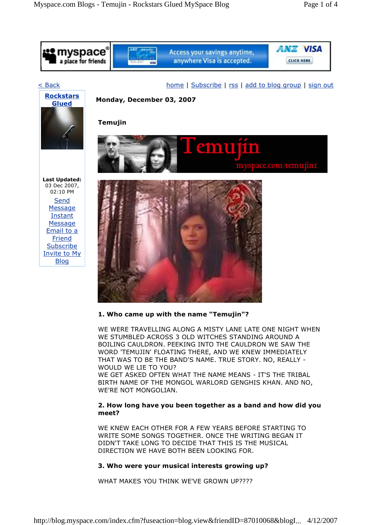

#### **1. Who came up with the name "Temujin"?**

WE WERE TRAVELLING ALONG A MISTY LANE LATE ONE NIGHT WHEN WE STUMBLED ACROSS 3 OLD WITCHES STANDING AROUND A BOILING CAULDRON. PEEKING INTO THE CAULDRON WE SAW THE WORD 'TEMUJIN' FLOATING THERE, AND WE KNEW IMMEDIATELY THAT WAS TO BE THE BAND'S NAME. TRUE STORY. NO, REALLY - WOULD WE LIE TO YOU? WE GET ASKED OFTEN WHAT THE NAME MEANS - IT'S THE TRIBAL BIRTH NAME OF THE MONGOL WARLORD GENGHIS KHAN. AND NO, WE'RE NOT MONGOLIAN.

# **2. How long have you been together as a band and how did you meet?**

WE KNEW EACH OTHER FOR A FEW YEARS BEFORE STARTING TO WRITE SOME SONGS TOGETHER. ONCE THE WRITING BEGAN IT DIDN'T TAKE LONG TO DECIDE THAT THIS IS THE MUSICAL DIRECTION WE HAVE BOTH BEEN LOOKING FOR.

# **3. Who were your musical interests growing up?**

WHAT MAKES YOU THINK WE'VE GROWN UP????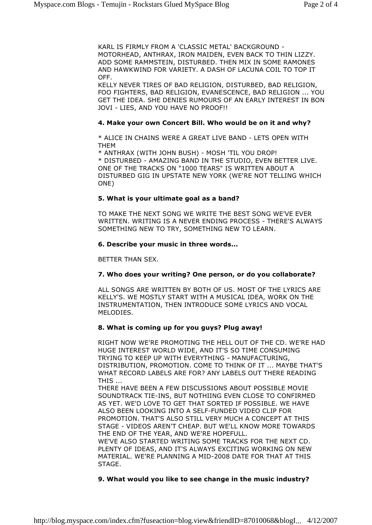KARL IS FIRMLY FROM A 'CLASSIC METAL' BACKGROUND - MOTORHEAD, ANTHRAX, IRON MAIDEN, EVEN BACK TO THIN LIZZY. ADD SOME RAMMSTEIN, DISTURBED. THEN MIX IN SOME RAMONES AND HAWKWIND FOR VARIETY. A DASH OF LACUNA COIL TO TOP IT OFF.

KELLY NEVER TIRES OF BAD RELIGION, DISTURBED, BAD RELIGION, FOO FIGHTERS, BAD RELIGION, EVANESCENCE, BAD RELIGION ... YOU GET THE IDEA. SHE DENIES RUMOURS OF AN EARLY INTEREST IN BON JOVI - LIES, AND YOU HAVE NO PROOF!!

### **4. Make your own Concert Bill. Who would be on it and why?**

\* ALICE IN CHAINS WERE A GREAT LIVE BAND - LETS OPEN WITH THEM

\* ANTHRAX (WITH JOHN BUSH) - MOSH 'TIL YOU DROP! \* DISTURBED - AMAZING BAND IN THE STUDIO, EVEN BETTER LIVE. ONE OF THE TRACKS ON "1000 TEARS" IS WRITTEN ABOUT A DISTURBED GIG IN UPSTATE NEW YORK (WE'RE NOT TELLING WHICH ONE)

#### **5. What is your ultimate goal as a band?**

TO MAKE THE NEXT SONG WE WRITE THE BEST SONG WE'VE EVER WRITTEN. WRITING IS A NEVER ENDING PROCESS - THERE'S ALWAYS SOMETHING NEW TO TRY, SOMETHING NEW TO LEARN.

### **6. Describe your music in three words...**

BETTER THAN SEX.

# **7. Who does your writing? One person, or do you collaborate?**

ALL SONGS ARE WRITTEN BY BOTH OF US. MOST OF THE LYRICS ARE KELLY'S. WE MOSTLY START WITH A MUSICAL IDEA, WORK ON THE INSTRUMENTATION, THEN INTRODUCE SOME LYRICS AND VOCAL MELODIES.

# **8. What is coming up for you guys? Plug away!**

RIGHT NOW WE'RE PROMOTING THE HELL OUT OF THE CD. WE'RE HAD HUGE INTEREST WORLD WIDE, AND IT'S SO TIME CONSUMING TRYING TO KEEP UP WITH EVERYTHING - MANUFACTURING, DISTRIBUTION, PROMOTION. COME TO THINK OF IT ... MAYBE THAT'S WHAT RECORD LABELS ARE FOR? ANY LABELS OUT THERE READING THIS ...

THERE HAVE BEEN A FEW DISCUSSIONS ABOUT POSSIBLE MOVIE SOUNDTRACK TIE-INS, BUT NOTHIING EVEN CLOSE TO CONFIRMED AS YET. WE'D LOVE TO GET THAT SORTED IF POSSIBLE. WE HAVE ALSO BEEN LOOKING INTO A SELF-FUNDED VIDEO CLIP FOR PROMOTION. THAT'S ALSO STILL VERY MUCH A CONCEPT AT THIS STAGE - VIDEOS AREN'T CHEAP. BUT WE'LL KNOW MORE TOWARDS THE END OF THE YEAR, AND WE'RE HOPEFULL.

WE'VE ALSO STARTED WRITING SOME TRACKS FOR THE NEXT CD. PLENTY OF IDEAS, AND IT'S ALWAYS EXCITING WORKING ON NEW MATERIAL. WE'RE PLANNING A MID-2008 DATE FOR THAT AT THIS STAGE.

# **9. What would you like to see change in the music industry?**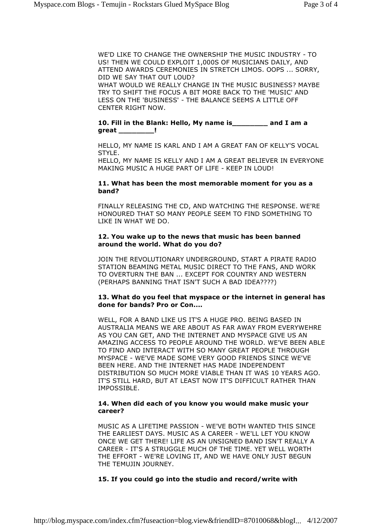WE'D LIKE TO CHANGE THE OWNERSHIP THE MUSIC INDUSTRY - TO US! THEN WE COULD EXPLOIT 1,000S OF MUSICIANS DAILY, AND ATTEND AWARDS CEREMONIES IN STRETCH LIMOS. OOPS ... SORRY, DID WE SAY THAT OUT LOUD? WHAT WOULD WE REALLY CHANGE IN THE MUSIC BUSINESS? MAYBE TRY TO SHIFT THE FOCUS A BIT MORE BACK TO THE 'MUSIC' AND LESS ON THE 'BUSINESS' - THE BALANCE SEEMS A LITTLE OFF CENTER RIGHT NOW.

#### **10. Fill in the Blank: Hello, My name is\_\_\_\_\_\_\_\_ and I am a great \_\_\_\_\_\_\_\_!**

HELLO, MY NAME IS KARL AND I AM A GREAT FAN OF KELLY'S VOCAL STYLE.

HELLO, MY NAME IS KELLY AND I AM A GREAT BELIEVER IN EVERYONE MAKING MUSIC A HUGE PART OF LIFE - KEEP IN LOUD!

### **11. What has been the most memorable moment for you as a band?**

FINALLY RELEASING THE CD, AND WATCHING THE RESPONSE. WE'RE HONOURED THAT SO MANY PEOPLE SEEM TO FIND SOMETHING TO LIKE IN WHAT WE DO.

### **12. You wake up to the news that music has been banned around the world. What do you do?**

JOIN THE REVOLUTIONARY UNDERGROUND, START A PIRATE RADIO STATION BEAMING METAL MUSIC DIRECT TO THE FANS, AND WORK TO OVERTURN THE BAN ... EXCEPT FOR COUNTRY AND WESTERN (PERHAPS BANNING THAT ISN'T SUCH A BAD IDEA????)

### **13. What do you feel that myspace or the internet in general has done for bands? Pro or Con....**

WELL, FOR A BAND LIKE US IT'S A HUGE PRO. BEING BASED IN AUSTRALIA MEANS WE ARE ABOUT AS FAR AWAY FROM EVERYWEHRE AS YOU CAN GET, AND THE INTERNET AND MYSPACE GIVE US AN AMAZING ACCESS TO PEOPLE AROUND THE WORLD. WE'VE BEEN ABLE TO FIND AND INTERACT WITH SO MANY GREAT PEOPLE THROUGH MYSPACE - WE'VE MADE SOME VERY GOOD FRIENDS SINCE WE'VE BEEN HERE. AND THE INTERNET HAS MADE INDEPENDENT DISTRIBUTION SO MUCH MORE VIABLE THAN IT WAS 10 YEARS AGO. IT'S STILL HARD, BUT AT LEAST NOW IT'S DIFFICULT RATHER THAN IMPOSSIBLE.

### **14. When did each of you know you would make music your career?**

MUSIC AS A LIFETIME PASSION - WE'VE BOTH WANTED THIS SINCE THE EARLIEST DAYS. MUSIC AS A CAREER - WE'LL LET YOU KNOW ONCE WE GET THERE! LIFE AS AN UNSIGNED BAND ISN'T REALLY A CAREER -IT'S A STRUGGLE MUCH OF THE TIME. YET WELL WORTH THE EFFORT - WE'RE LOVING IT, AND WE HAVE ONLY JUST BEGUN THE TEMUJIN JOURNEY.

# **15. If you could go into the studio and record/write with**